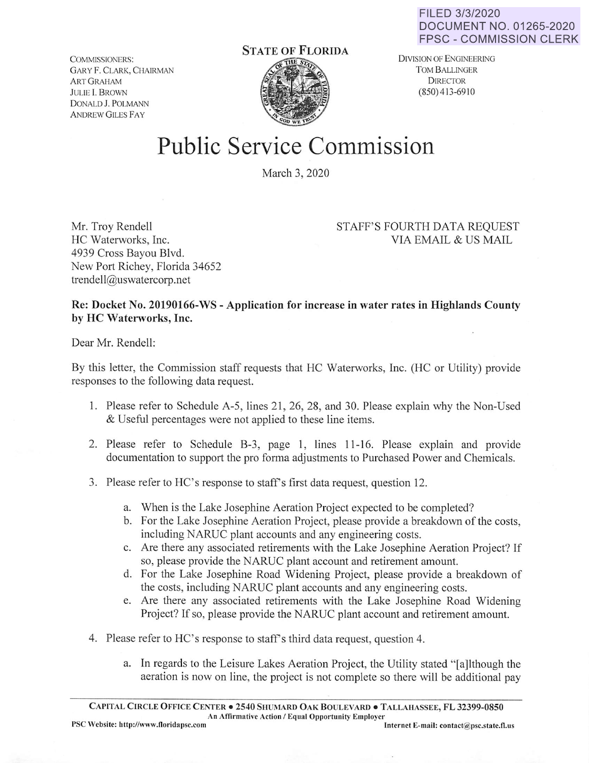FILED 3/3/2020 **DOCUMENT NO. 01265-2020 FPSC** - **COMMISSION CLERK** 

COMMISSIONERS: GARY F. CLARK, CHAIRMAN ART GRAHAM JULIE I. BROWN DONALD **J. POLMANN ANDREW GILES FAY** 



DlVISION OF ENGINEERING TOM BALLINGER **DIRECTOR** (850) 413-6910

## **Public** Service Commission

March 3, 2020

Mr. Troy Rendell HC Waterworks, Inc. 4939 Cross Bayou Blvd. New Port Richey, Florida 34652 trendell@uswatercorp.net

## STAFF'S FOURTH DATA REQUEST VIA EMAIL & US MAIL

**Re: Docket No. 20190166-WS** - **Application for increase in water rates in Highlands County by HC Waterworks, Inc.** 

Dear Mr. Rendell:

By this letter, the Commission staff requests that HC Waterworks, Inc. (HC or Utility) provide responses to the following data request.

- 1. Please refer to Schedule A-5, lines 21, 26, 28, and 30. Please explain why the Non-Used & Useful percentages were not applied to these line items.
- 2. Please refer to Schedule B-3, page 1, lines 11-16. Please explain and provide documentation to support the pro fonna adjustments to Purchased Power and Chemicals.
- 3. Please refer to HC's response to staff's first data request, question 12.
	- a. When is the Lake Josephine Aeration Project expected to be completed?
	- b. For the Lake Josephine Aeration Project, please provide a breakdown of the costs, including NARUC plant accounts and any engineering costs.
	- c. Are there any associated retirements with the Lake Josephine Aeration Project? If so, please provide the NARUC plant account and retirement amount.
	- d. For the Lake Josephine Road Widening Project, please provide a breakdown of the costs, including NARUC plant accounts and any engineering costs.
	- e. Are there any associated retirements with the Lake Josephine Road Widening Project? If so, please provide the NARUC plant account and retirement amount.
- 4. Please refer to HC's response to staff's third data request, question 4.
	- a. In regards to the Leisure Lakes Aeration Project, the Utility stated "[a]lthough the aeration is now on line, the project is not complete so there will be additional pay